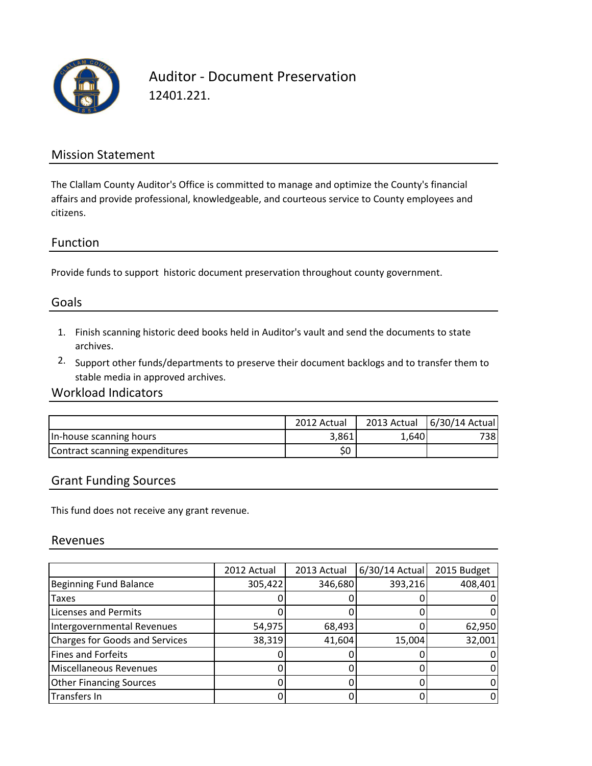

Auditor - Document Preservation 12401.221.

## Mission Statement

The Clallam County Auditor's Office is committed to manage and optimize the County's financial affairs and provide professional, knowledgeable, and courteous service to County employees and citizens.

#### Function

Provide funds to support historic document preservation throughout county government.

## Goals

- 1. Finish scanning historic deed books held in Auditor's vault and send the documents to state archives.
- 2. Support other funds/departments to preserve their document backlogs and to transfer them to stable media in approved archives.

### Workload Indicators

|                                | 2012 Actual |       | 2013 Actual   6/30/14 Actual |
|--------------------------------|-------------|-------|------------------------------|
| In-house scanning hours        | 3,861       | 1,640 | 738I                         |
| Contract scanning expenditures | \$0         |       |                              |

#### Grant Funding Sources

This fund does not receive any grant revenue.

#### Revenues

|                                       | 2012 Actual | 2013 Actual | $6/30/14$ Actual | 2015 Budget |
|---------------------------------------|-------------|-------------|------------------|-------------|
| <b>Beginning Fund Balance</b>         | 305,422     | 346,680     | 393,216          | 408,401     |
| <b>Taxes</b>                          |             |             |                  |             |
| <b>Licenses and Permits</b>           |             |             |                  |             |
| Intergovernmental Revenues            | 54,975      | 68,493      |                  | 62,950      |
| <b>Charges for Goods and Services</b> | 38,319      | 41,604      | 15,004           | 32,001      |
| <b>Fines and Forfeits</b>             |             |             |                  |             |
| Miscellaneous Revenues                |             |             |                  |             |
| <b>Other Financing Sources</b>        |             |             |                  |             |
| <b>Transfers In</b>                   |             |             |                  |             |